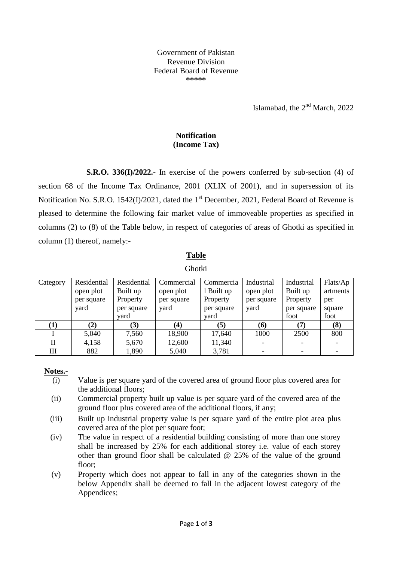Government of Pakistan Revenue Division Federal Board of Revenue **\*\*\*\*\***

Islamabad, the  $2<sup>nd</sup>$  March, 2022

## **Notification (Income Tax)**

**S.R.O. 336(I)/2022.-** In exercise of the powers conferred by sub-section (4) of section 68 of the Income Tax Ordinance, 2001 (XLIX of 2001), and in supersession of its Notification No. S.R.O. 1542(I)/2021, dated the 1<sup>st</sup> December, 2021, Federal Board of Revenue is pleased to determine the following fair market value of immoveable properties as specified in columns (2) to (8) of the Table below, in respect of categories of areas of Ghotki as specified in column (1) thereof, namely:-

# **Table**

#### Ghotki

| Category  | Residential | Residential | Commercial | Commercia  | Industrial | Industrial | Flats/Ap |
|-----------|-------------|-------------|------------|------------|------------|------------|----------|
|           | open plot   | Built up    | open plot  | 1 Built up | open plot  | Built up   | artments |
|           | per square  | Property    | per square | Property   | per square | Property   | per      |
|           | yard        | per square  | yard       | per square | yard       | per square | square   |
|           |             | vard        |            | yard       |            | foot       | foot     |
| $\bf (1)$ | (2)         | (3)         | (4)        | (5)        | (6)        | (7)        | (8)      |
|           | 5,040       | 7,560       | 18,900     | 17,640     | 1000       | 2500       | 800      |
| П         | 4,158       | 5,670       | 12,600     | 11,340     |            |            |          |
| Ш         | 882         | 1,890       | 5,040      | 3,781      |            |            |          |

#### **Notes.-**

- (i) Value is per square yard of the covered area of ground floor plus covered area for the additional floors;
- (ii) Commercial property built up value is per square yard of the covered area of the ground floor plus covered area of the additional floors, if any;
- (iii) Built up industrial property value is per square yard of the entire plot area plus covered area of the plot per square foot;
- (iv) The value in respect of a residential building consisting of more than one storey shall be increased by 25% for each additional storey i.e. value of each storey other than ground floor shall be calculated @ 25% of the value of the ground floor;
- (v) Property which does not appear to fall in any of the categories shown in the below Appendix shall be deemed to fall in the adjacent lowest category of the Appendices;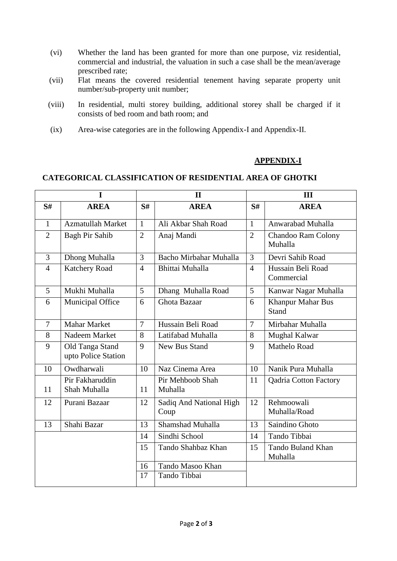- (vi) Whether the land has been granted for more than one purpose, viz residential, commercial and industrial, the valuation in such a case shall be the mean/average prescribed rate;
- (vii) Flat means the covered residential tenement having separate property unit number/sub-property unit number;
- (viii) In residential, multi storey building, additional storey shall be charged if it consists of bed room and bath room; and
- (ix) Area-wise categories are in the following Appendix-I and Appendix-II.

### **APPENDIX-I**

#### **CATEGORICAL CLASSIFICATION OF RESIDENTIAL AREA OF GHOTKI**

| $\mathbf I$    |                                        | $\mathbf{I}$   |                                 |                | III                               |  |  |
|----------------|----------------------------------------|----------------|---------------------------------|----------------|-----------------------------------|--|--|
| S#             | <b>AREA</b>                            | S#             | <b>AREA</b>                     | S#             | <b>AREA</b>                       |  |  |
| $\mathbf{1}$   | Azmatullah Market                      | $\mathbf{1}$   | Ali Akbar Shah Road             | $\mathbf{1}$   | Anwarabad Muhalla                 |  |  |
| $\overline{2}$ | Bagh Pir Sahib                         | $\overline{2}$ | Anaj Mandi                      | $\overline{2}$ | Chandoo Ram Colony<br>Muhalla     |  |  |
| 3              | Dhong Muhalla                          | 3              | Bacho Mirbahar Muhalla          | 3              | Devri Sahib Road                  |  |  |
| $\overline{4}$ | <b>Katchery Road</b>                   | $\overline{4}$ | Bhittai Muhalla                 | $\overline{4}$ | Hussain Beli Road<br>Commercial   |  |  |
| $\overline{5}$ | Mukhi Muhalla                          | 5              | Dhang Muhalla Road              | 5              | Kanwar Nagar Muhalla              |  |  |
| 6              | Municipal Office                       | 6              | Ghota Bazaar                    | 6              | Khanpur Mahar Bus<br><b>Stand</b> |  |  |
| $\overline{7}$ | <b>Mahar Market</b>                    | $\overline{7}$ | Hussain Beli Road               | $\overline{7}$ | Mirbahar Muhalla                  |  |  |
| 8              | Nadeem Market                          | 8              | Latifabad Muhalla               | 8              | Mughal Kalwar                     |  |  |
| 9              | Old Tanga Stand<br>upto Police Station | 9              | New Bus Stand                   | 9              | Mathelo Road                      |  |  |
| 10             | Owdharwali                             | 10             | Naz Cinema Area                 | 10             | Nanik Pura Muhalla                |  |  |
| 11             | Pir Fakharuddin<br>Shah Muhalla        | 11             | Pir Mehboob Shah<br>Muhalla     | 11             | <b>Qadria Cotton Factory</b>      |  |  |
| 12             | Purani Bazaar                          | 12             | Sadiq And National High<br>Coup | 12             | Rehmoowali<br>Muhalla/Road        |  |  |
| 13             | Shahi Bazar                            | 13             | Shamshad Muhalla                | 13             | Saindino Ghoto                    |  |  |
|                |                                        | 14             | Sindhi School                   | 14             | Tando Tibbai                      |  |  |
|                |                                        | 15             | Tando Shahbaz Khan              | 15             | Tando Buland Khan<br>Muhalla      |  |  |
|                |                                        | 16             | Tando Masoo Khan                |                |                                   |  |  |
|                |                                        | 17             | Tando Tibbai                    |                |                                   |  |  |